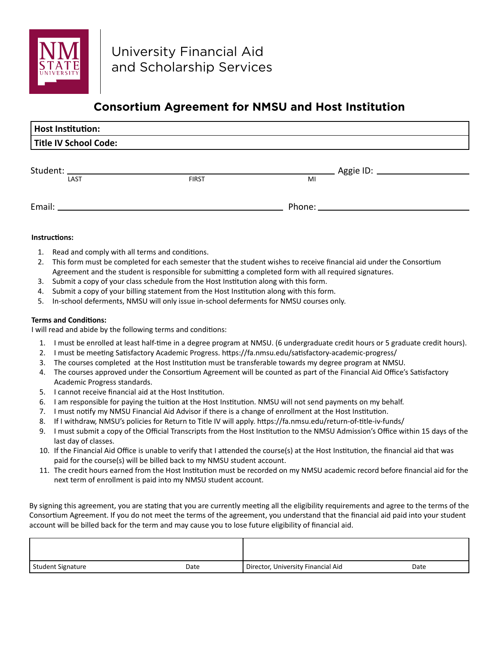

# **Consortium Agreement for NMSU and Host Institution**

| <b>Host Institution:</b> |              |    |  |
|--------------------------|--------------|----|--|
| Title IV School Code:    |              |    |  |
|                          |              |    |  |
| LAST                     | <b>FIRST</b> | MI |  |
|                          |              |    |  |

#### **Instructions:**

- 1. Read and comply with all terms and conditions.
- 2. This form must be completed for each semester that the student wishes to receive financial aid under the Consortium Agreement and the student is responsible for submitting a completed form with all required signatures.
- 3. Submit a copy of your class schedule from the Host Institution along with this form.
- 4. Submit a copy of your billing statement from the Host Institution along with this form.
- 5. In-school deferments, NMSU will only issue in-school deferments for NMSU courses only.

#### **Terms and Conditions:**

I will read and abide by the following terms and conditions:

- 1. I must be enrolled at least half-time in a degree program at NMSU. (6 undergraduate credit hours or 5 graduate credit hours).
- 2. I must be meeting Satisfactory Academic Progress. https://fa.nmsu.edu/satisfactory-academic-progress/
- 3. The courses completed at the Host Institution must be transferable towards my degree program at NMSU.
- 4. The courses approved under the Consortium Agreement will be counted as part of the Financial Aid Office's Satisfactory Academic Progress standards.
- 5. I cannot receive financial aid at the Host Institution.
- 6. I am responsible for paying the tuition at the Host Institution. NMSU will not send payments on my behalf.
- 7. I must notify my NMSU Financial Aid Advisor if there is a change of enrollment at the Host Institution.
- 8. If I withdraw, NMSU's policies for Return to Title IV will apply. https://fa.nmsu.edu/return-of-title-iv-funds/
- 9. I must submit a copy of the Official Transcripts from the Host Institution to the NMSU Admission's Office within 15 days of the last day of classes.
- 10. If the Financial Aid Office is unable to verify that I attended the course(s) at the Host Institution, the financial aid that was paid for the course(s) will be billed back to my NMSU student account.
- 11. The credit hours earned from the Host Institution must be recorded on my NMSU academic record before financial aid for the next term of enrollment is paid into my NMSU student account.

By signing this agreement, you are stating that you are currently meeting all the eligibility requirements and agree to the terms of the Consortium Agreement. If you do not meet the terms of the agreement, you understand that the financial aid paid into your student account will be billed back for the term and may cause you to lose future eligibility of financial aid.

| Student Signature | Date | Director, University Financial Aid | Date |
|-------------------|------|------------------------------------|------|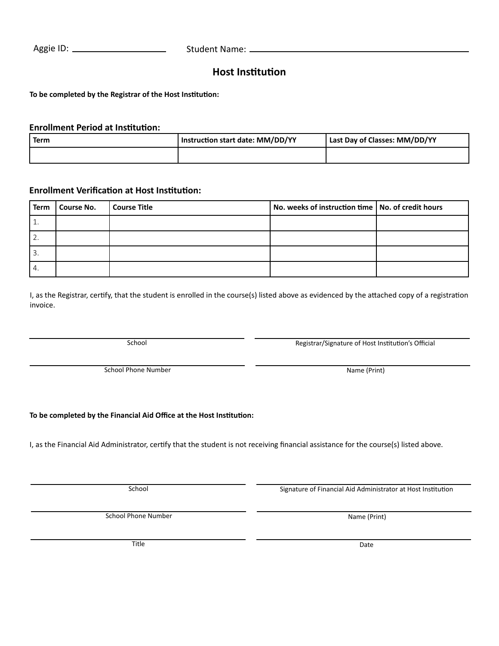Aggie ID: Student Name:

# **Host Institution**

**To be completed by the Registrar of the Host Institution:**

#### **Enrollment Period at Institution:**

| <b>Term</b> | Instruction start date: MM/DD/YY | Last Day of Classes: MM/DD/YY |  |
|-------------|----------------------------------|-------------------------------|--|
|             |                                  |                               |  |

## **Enrollment Verification at Host Institution:**

| Term | Course No. | Course Title | No. weeks of instruction time   No. of credit hours |  |
|------|------------|--------------|-----------------------------------------------------|--|
| ᆂ.   |            |              |                                                     |  |
|      |            |              |                                                     |  |
| 3.   |            |              |                                                     |  |
| 4.   |            |              |                                                     |  |

I, as the Registrar, certify, that the student is enrolled in the course(s) listed above as evidenced by the attached copy of a registration invoice.

School Registrar/Signature of Host Institution's Official

School Phone Number Name (Print)

### **To be completed by the Financial Aid Office at the Host Institution:**

I, as the Financial Aid Administrator, certify that the student is not receiving financial assistance for the course(s) listed above.

School Signature of Financial Aid Administrator at Host Institution

School Phone Number Name (Print)

Title Date Date of the Date of the Date of the Date of the Date of the Date of the Date of the Date of the Date